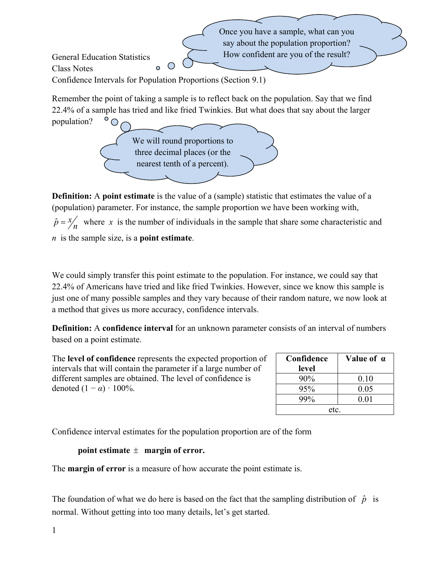Once you have a sample, what can you say about the population proportion? How confident are you of the result? General Education Statistics O Class Notes  $\bullet$ Confidence Intervals for Population Proportions (Section 9.1) Remember the point of taking a sample is to reflect back on the population. Say that we find 22.4% of a sample has tried and like fried Twinkies. But what does that say about the larger population? ◯ We will round proportions to three decimal places (or the

**Definition:** A **point estimate** is the value of a (sample) statistic that estimates the value of a (population) parameter. For instance, the sample proportion we have been working with,  $\hat{p} = \frac{x}{n}$  where *x* is the number of individuals in the sample that share some characteristic and *n* is the sample size, is a **point estimate**.

nearest tenth of a percent).

We could simply transfer this point estimate to the population. For instance, we could say that 22.4% of Americans have tried and like fried Twinkies. However, since we know this sample is just one of many possible samples and they vary because of their random nature, we now look at a method that gives us more accuracy, confidence intervals.

**Definition:** A **confidence interval** for an unknown parameter consists of an interval of numbers based on a point estimate.

The **level of confidence** represents the expected proportion of intervals that will contain the parameter if a large number of different samples are obtained. The level of confidence is denoted  $(1 - \alpha) \cdot 100\%$ .

| Confidence | Value of a |  |  |  |
|------------|------------|--|--|--|
| level      |            |  |  |  |
| $90\%$     | 0.10       |  |  |  |
| 95%        | 0.05       |  |  |  |
| 99%        | 0.01       |  |  |  |
| etc.       |            |  |  |  |

Confidence interval estimates for the population proportion are of the form

**point estimate**  $\pm$  **margin of error.** 

The **margin of error** is a measure of how accurate the point estimate is.

The foundation of what we do here is based on the fact that the sampling distribution of  $\hat{p}$  is normal. Without getting into too many details, let's get started.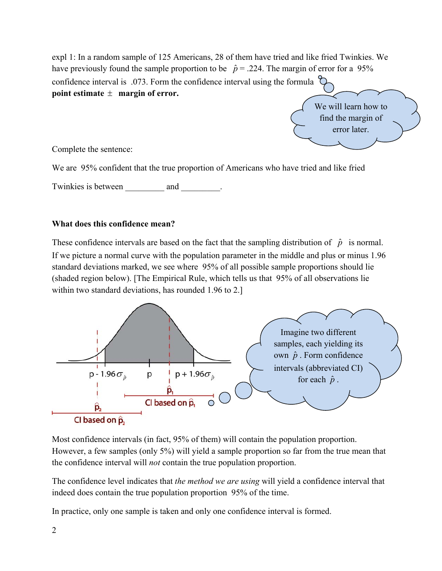expl 1: In a random sample of 125 Americans, 28 of them have tried and like fried Twinkies. We have previously found the sample proportion to be  $\hat{p} = .224$ . The margin of error for a 95% confidence interval is .073. Form the confidence interval using the formula **point estimate**  $\pm$  **margin of error.** 



Complete the sentence:

We are 95% confident that the true proportion of Americans who have tried and like fried

Twinkies is between and and .

#### **What does this confidence mean?**

These confidence intervals are based on the fact that the sampling distribution of  $\hat{p}$  is normal. If we picture a normal curve with the population parameter in the middle and plus or minus 1.96 standard deviations marked, we see where 95% of all possible sample proportions should lie (shaded region below). [The Empirical Rule, which tells us that 95% of all observations lie within two standard deviations, has rounded 1.96 to 2.]



Most confidence intervals (in fact, 95% of them) will contain the population proportion. However, a few samples (only 5%) will yield a sample proportion so far from the true mean that the confidence interval will *not* contain the true population proportion.

The confidence level indicates that *the method we are using* will yield a confidence interval that indeed does contain the true population proportion 95% of the time.

In practice, only one sample is taken and only one confidence interval is formed.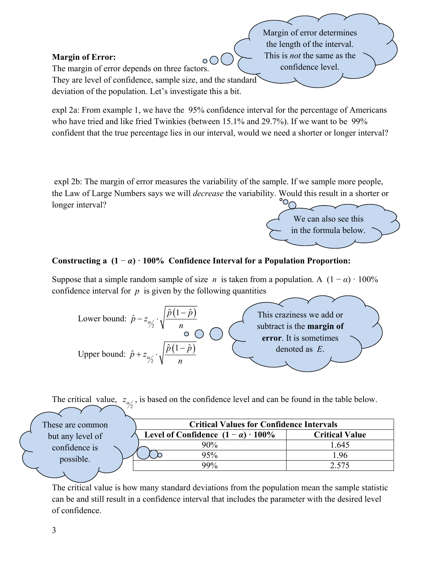## **Margin of Error:**

The margin of error depends on three factors. They are level of confidence, sample size, and the standard deviation of the population. Let's investigate this a bit.

expl 2a: From example 1, we have the 95% confidence interval for the percentage of Americans who have tried and like fried Twinkies (between 15.1% and 29.7%). If we want to be 99% confident that the true percentage lies in our interval, would we need a shorter or longer interval?

 $\circ$  ( )

 expl 2b: The margin of error measures the variability of the sample. If we sample more people, the Law of Large Numbers says we will *decrease* the variability. Would this result in a shorter or longer interval?



Margin of error determines the length of the interval. This is *not* the same as the confidence level.

# **Constructing a (1** − *α***) ꞏ 100% Confidence Interval for a Population Proportion:**

Suppose that a simple random sample of size *n* is taken from a population. A  $(1 - \alpha) \cdot 100\%$ confidence interval for  $p$  is given by the following quantities



The critical value,  $z_{\alpha/2}$ , is based on the confidence level and can be found in the table below.

| These are common | <b>Critical Values for Confidence Intervals</b> |                       |  |
|------------------|-------------------------------------------------|-----------------------|--|
| but any level of | Level of Confidence $(1 - \alpha) \cdot 100\%$  | <b>Critical Value</b> |  |
| confidence is    | $90\%$                                          | 1.645                 |  |
| possible.        | $25\%$                                          | .96                   |  |
|                  | 99%                                             | 7.575                 |  |
|                  |                                                 |                       |  |

The critical value is how many standard deviations from the population mean the sample statistic can be and still result in a confidence interval that includes the parameter with the desired level of confidence.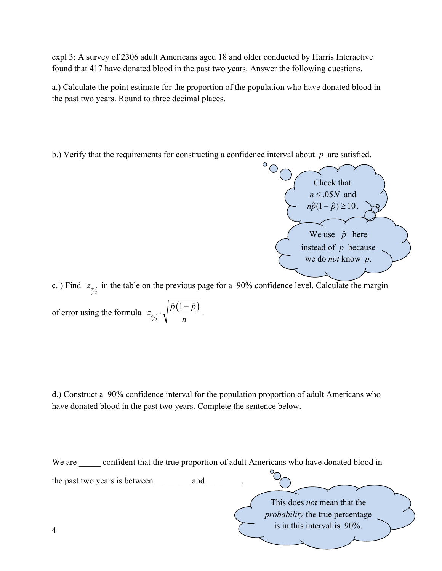expl 3: A survey of 2306 adult Americans aged 18 and older conducted by Harris Interactive found that 417 have donated blood in the past two years. Answer the following questions.

a.) Calculate the point estimate for the proportion of the population who have donated blood in the past two years. Round to three decimal places.

b.) Verify that the requirements for constructing a confidence interval about *p* are satisfied.



c. ) Find  $z_{\alpha/2}$  in the table on the previous page for a 90% confidence level. Calculate the margin of error using the formula  $z_{\alpha/2} \cdot \sqrt{\frac{\hat{p}(1-\hat{p})}{n}}$  $\hat{p}\left(1-\hat{p}\right)$ *z*  $\frac{a_2}{a_1}$   $\sqrt{a_2}$  $\cdot \sqrt{\frac{\hat{p}(1-\hat{p})}{n}}$ .

d.) Construct a 90% confidence interval for the population proportion of adult Americans who have donated blood in the past two years. Complete the sentence below.

4 We are confident that the true proportion of adult Americans who have donated blood in the past two years is between \_\_\_\_\_\_\_\_\_ and This does *not* mean that the *probability* the true percentage is in this interval is 90%.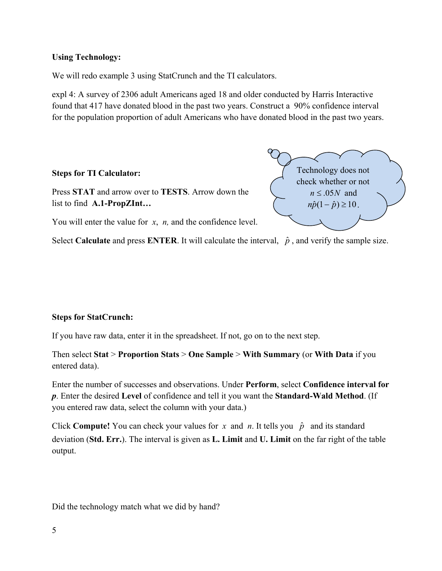## **Using Technology:**

We will redo example 3 using StatCrunch and the TI calculators.

expl 4: A survey of 2306 adult Americans aged 18 and older conducted by Harris Interactive found that 417 have donated blood in the past two years. Construct a 90% confidence interval for the population proportion of adult Americans who have donated blood in the past two years.

## **Steps for TI Calculator:**

Press **STAT** and arrow over to **TESTS**. Arrow down the list to find **A.1-PropZInt…** 

Technology does not check whether or not  $n \leq 0.05N$  and  $n\hat{p}(1-\hat{p}) \geq 10$ .

You will enter the value for *x*, *n*, and the confidence level.

Select **Calculate** and press **ENTER**. It will calculate the interval,  $\hat{p}$ , and verify the sample size.

# **Steps for StatCrunch:**

If you have raw data, enter it in the spreadsheet. If not, go on to the next step.

Then select **Stat** > **Proportion Stats** > **One Sample** > **With Summary** (or **With Data** if you entered data).

Enter the number of successes and observations. Under **Perform**, select **Confidence interval for**  *p*. Enter the desired **Level** of confidence and tell it you want the **Standard-Wald Method**. (If you entered raw data, select the column with your data.)

Click **Compute!** You can check your values for *x* and *n*. It tells you  $\hat{p}$  and its standard deviation (**Std. Err.**). The interval is given as **L. Limit** and **U. Limit** on the far right of the table output.

Did the technology match what we did by hand?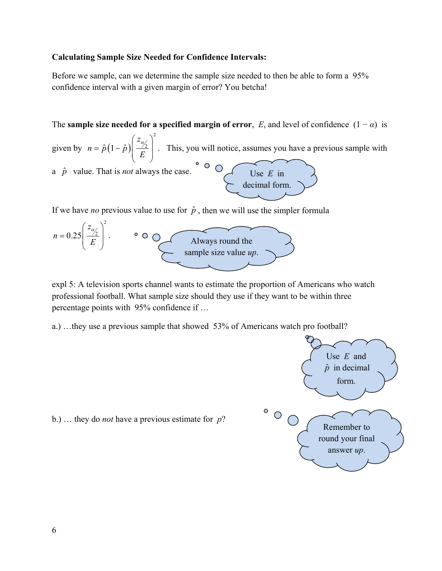#### **Calculating Sample Size Needed for Confidence Intervals:**

Before we sample, can we determine the sample size needed to then be able to form a 95% confidence interval with a given margin of error? You betcha!

The **sample size needed for a specified margin of error**, *E*, and level of confidence  $(1 - \alpha)$  is

given by  $n = \hat{p}(1-\hat{p})$ 2  $\hat{p}\left(1-\hat{p}\right)\left|\frac{z}{\sqrt{2}}\right|$ *z*  $n = \hat{p} (1-\hat{p}) \left| \frac{Z}{E} \right|$  $(z_{\alpha\prime})$  $= \hat{p}(1-\hat{p})\left(\frac{\hat{z}}{E}\right)$ . This, you will notice, assumes you have a previous sample with a  $\hat{p}$  value. That is *not* always the case.  $\circ$   $\circ$   $\circ$ Use *E* in decimal form.

If we have *no* previous value to use for  $\hat{p}$ , then we will use the simpler formula



b.) … they do *not* have a previous estimate for *p*?

expl 5: A television sports channel wants to estimate the proportion of Americans who watch professional football. What sample size should they use if they want to be within three percentage points with 95% confidence if …

a.) …they use a previous sample that showed 53% of Americans watch pro football?